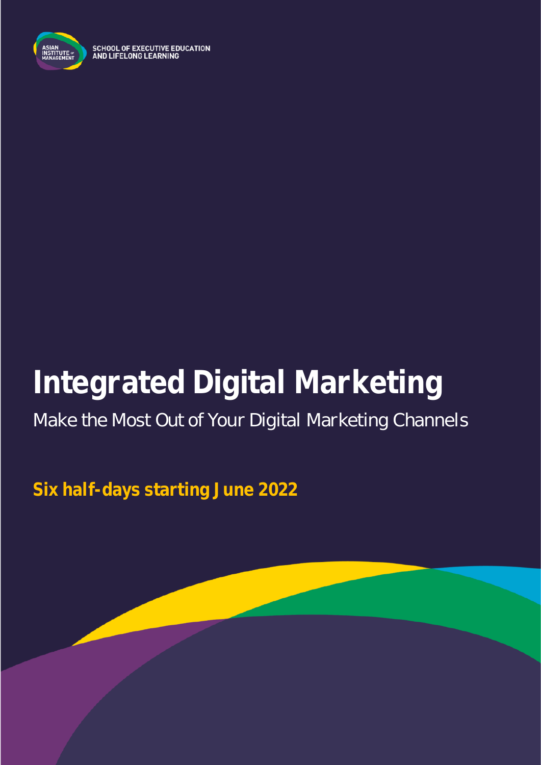

**SCHOOL OF EXECUTIVE EDUCATION** AND LIFELONG LEARNING

# **Integrated Digital Marketing**

## Make the Most Out of Your Digital Marketing Channels

**Six half-days starting June 2022**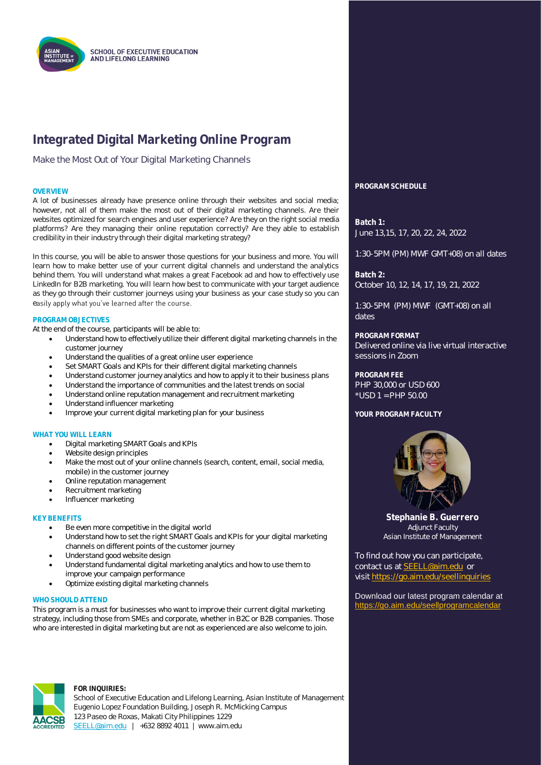

### **Integrated Digital Marketing Online Program**

Make the Most Out of Your Digital Marketing Channels

A lot of businesses already have presence online through their websites and social media; however, not all of them make the most out of their digital marketing channels. Are their websites optimized for search engines and user experience? Are they on the right social media platforms? Are they managing their online reputation correctly? Are they able to establish credibility in their industry through their digital marketing strategy?

In this course, you will be able to answer those questions for your business and more. You will learn how to make better use of your current digital channels and understand the analytics behind them. You will understand what makes a great Facebook ad and how to effectively use LinkedIn for B2B marketing. You will learn how best to communicate with your target audience as they go through their customer journeys using your business as your case study so you can easily apply what you've learned after the course.

#### **PROGRAM OBJECTIVES**

At the end of the course, participants will be able to:

- Understand how to effectively utilize their different digital marketing channels in the customer journey
- Understand the qualities of a great online user experience
- Set SMART Goals and KPIs for their different digital marketing channels
- Understand customer journey analytics and how to apply it to their business plans
- Understand the importance of communities and the latest trends on social
- Understand online reputation management and recruitment marketing
- Understand influencer marketing
- Improve your current digital marketing plan for your business

#### **WHAT YOU WILL LEARN**

- Digital marketing SMART Goals and KPIs
- Website design principles
- Make the most out of your online channels (search, content, email, social media, mobile) in the customer journey
- Online reputation management
- Recruitment marketing
- Influencer marketing

#### **KEY BENEFITS**

- Be even more competitive in the digital world
- Understand how to set the right SMART Goals and KPIs for your digital marketing channels on different points of the customer journey
- Understand good website design
- Understand fundamental digital marketing analytics and how to use them to improve your campaign performance
- Optimize existing digital marketing channels

#### WHO SHOULD ATTEND

This program is a must for businesses who want to improve their current digital marketing strategy, including those from SMEs and corporate, whether in B2C or B2B companies. Those who are interested in digital marketing but are not as experienced are also welcome to join.



#### **FOR INQUIRIES:**

School of Executive Education and Lifelong Learning, Asian Institute of Management Eugenio Lopez Foundation Building, Joseph R. McMicking Campus 123 Paseo de Roxas, Makati City Philippines 1229 [SEELL@aim.edu](mailto:SEELL@aim.edu) | +632 8892 4011 | www.aim.edu

**OVERVIEW PROGRAM SCHEDULE**

**Batch 1:** June 13,15, 17, 20, 22, 24, 2022

1:30-5PM (PM) MWF GMT+08) on all dates

**Batch 2:** October 10, 12, 14, 17, 19, 21, 2022

1:30-5PM (PM) MWF (GMT+08) on all dates

#### **PROGRAM FORMAT**

Delivered online via live virtual interactive sessions in Zoom

**PROGRAM FEE**

PHP 30,000 or USD 600 \*USD 1 = PHP 50.00

#### **YOUR PROGRAM FACULTY**



**Stephanie B. Guerrero** Adjunct Faculty Asian Institute of Management

To find out how you can participate, contact us at **SEELL@aim.edu** or visit<https://go.aim.edu/seellinquiries>

Download our latest program calendar at <https://go.aim.edu/seellprogramcalendar>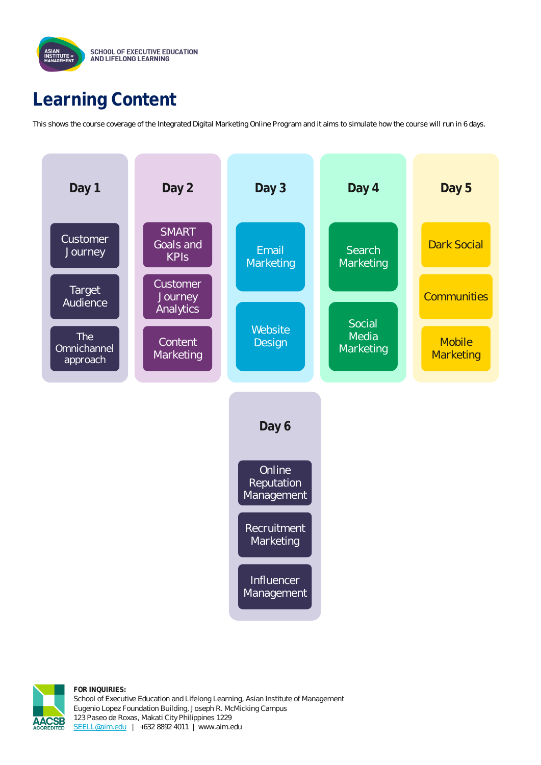

### **Learning Content**

This shows the course coverage of the Integrated Digital Marketing Online Program and it aims to simulate how the course will run in 6 days.





**FOR INQUIRIES:** School of Executive Education and Lifelong Learning, Asian Institute of Management Eugenio Lopez Foundation Building, Joseph R. McMicking Campus 123 Paseo de Roxas, Makati City Philippines 1229 [SEELL@aim.edu](mailto:SEELL@aim.edu) | +632 8892 4011 | www.aim.edu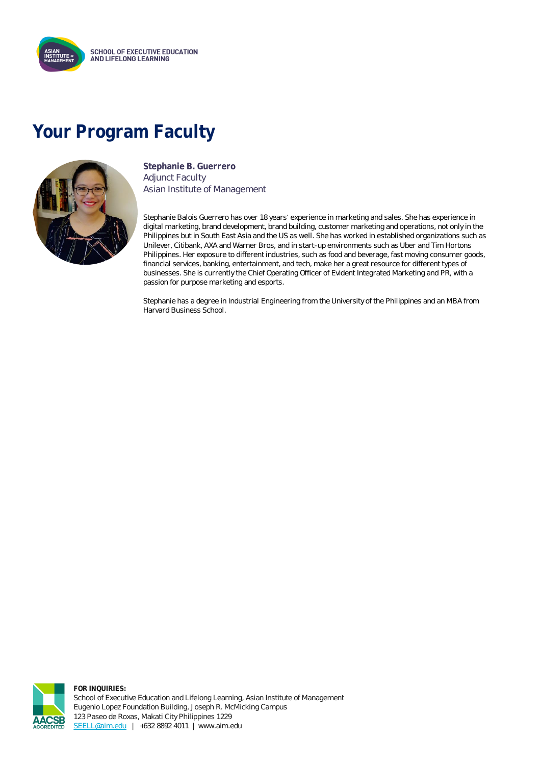

### **Your Program Faculty**



**Stephanie B. Guerrero** Adjunct Faculty Asian Institute of Management

Stephanie Balois Guerrero has over 18 years' experience in marketing and sales. She has experience in digital marketing, brand development, brand building, customer marketing and operations, not only in the Philippines but in South East Asia and the US as well. She has worked in established organizations such as Unilever, Citibank, AXA and Warner Bros, and in start-up environments such as Uber and Tim Hortons Philippines. Her exposure to different industries, such as food and beverage, fast moving consumer goods, financial services, banking, entertainment, and tech, make her a great resource for different types of businesses. She is currently the Chief Operating Officer of Evident Integrated Marketing and PR, with a passion for purpose marketing and esports.

Stephanie has a degree in Industrial Engineering from the University of the Philippines and an MBA from Harvard Business School.



**FOR INQUIRIES:** School of Executive Education and Lifelong Learning, Asian Institute of Management Eugenio Lopez Foundation Building, Joseph R. McMicking Campus 123 Paseo de Roxas, Makati City Philippines 1229 [SEELL@aim.edu](mailto:SEELL@aim.edu) | +632 8892 4011 | www.aim.edu